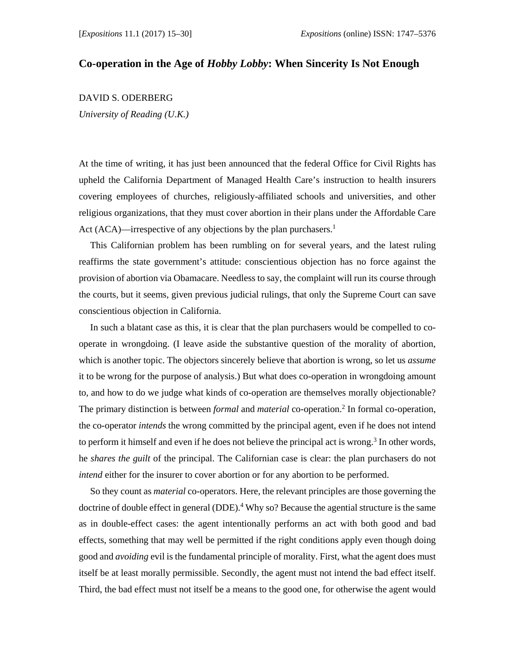## **Co-operation in the Age of** *Hobby Lobby***: When Sincerity Is Not Enough**

## DAVID S. ODERBERG

*University of Reading (U.K.)* 

At the time of writing, it has just been announced that the federal Office for Civil Rights has upheld the California Department of Managed Health Care's instruction to health insurers covering employees of churches, religiously-affiliated schools and universities, and other religious organizations, that they must cover abortion in their plans under the Affordable Care Act (ACA)—irrespective of any objections by the plan purchasers.<sup>1</sup>

This Californian problem has been rumbling on for several years, and the latest ruling reaffirms the state government's attitude: conscientious objection has no force against the provision of abortion via Obamacare. Needless to say, the complaint will run its course through the courts, but it seems, given previous judicial rulings, that only the Supreme Court can save conscientious objection in California.

In such a blatant case as this, it is clear that the plan purchasers would be compelled to cooperate in wrongdoing. (I leave aside the substantive question of the morality of abortion, which is another topic. The objectors sincerely believe that abortion is wrong, so let us *assume* it to be wrong for the purpose of analysis.) But what does co-operation in wrongdoing amount to, and how to do we judge what kinds of co-operation are themselves morally objectionable? The primary distinction is between *formal* and *material* co-operation.2 In formal co-operation, the co-operator *intends* the wrong committed by the principal agent, even if he does not intend to perform it himself and even if he does not believe the principal act is wrong.3 In other words, he *shares the guilt* of the principal. The Californian case is clear: the plan purchasers do not *intend* either for the insurer to cover abortion or for any abortion to be performed.

So they count as *material* co-operators. Here, the relevant principles are those governing the doctrine of double effect in general (DDE).<sup>4</sup> Why so? Because the agential structure is the same as in double-effect cases: the agent intentionally performs an act with both good and bad effects, something that may well be permitted if the right conditions apply even though doing good and *avoiding* evil is the fundamental principle of morality. First, what the agent does must itself be at least morally permissible. Secondly, the agent must not intend the bad effect itself. Third, the bad effect must not itself be a means to the good one, for otherwise the agent would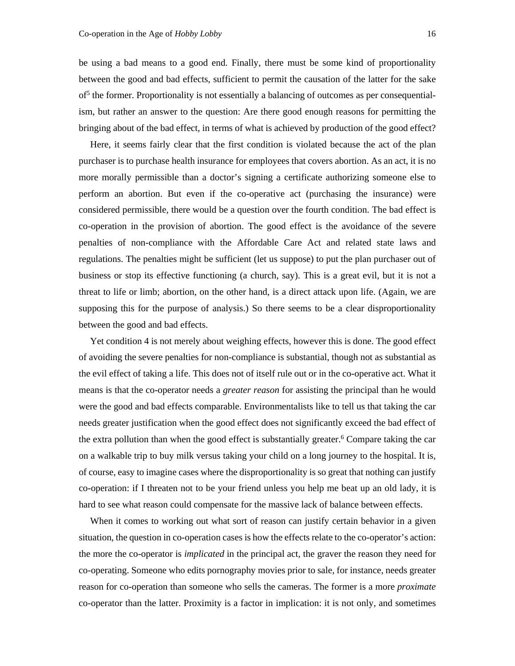be using a bad means to a good end. Finally, there must be some kind of proportionality between the good and bad effects, sufficient to permit the causation of the latter for the sake of<sup>5</sup> the former. Proportionality is not essentially a balancing of outcomes as per consequentialism, but rather an answer to the question: Are there good enough reasons for permitting the bringing about of the bad effect, in terms of what is achieved by production of the good effect?

Here, it seems fairly clear that the first condition is violated because the act of the plan purchaser is to purchase health insurance for employees that covers abortion. As an act, it is no more morally permissible than a doctor's signing a certificate authorizing someone else to perform an abortion. But even if the co-operative act (purchasing the insurance) were considered permissible, there would be a question over the fourth condition. The bad effect is co-operation in the provision of abortion. The good effect is the avoidance of the severe penalties of non-compliance with the Affordable Care Act and related state laws and regulations. The penalties might be sufficient (let us suppose) to put the plan purchaser out of business or stop its effective functioning (a church, say). This is a great evil, but it is not a threat to life or limb; abortion, on the other hand, is a direct attack upon life. (Again, we are supposing this for the purpose of analysis.) So there seems to be a clear disproportionality between the good and bad effects.

Yet condition 4 is not merely about weighing effects, however this is done. The good effect of avoiding the severe penalties for non-compliance is substantial, though not as substantial as the evil effect of taking a life. This does not of itself rule out or in the co-operative act. What it means is that the co-operator needs a *greater reason* for assisting the principal than he would were the good and bad effects comparable. Environmentalists like to tell us that taking the car needs greater justification when the good effect does not significantly exceed the bad effect of the extra pollution than when the good effect is substantially greater.<sup>6</sup> Compare taking the car on a walkable trip to buy milk versus taking your child on a long journey to the hospital. It is, of course, easy to imagine cases where the disproportionality is so great that nothing can justify co-operation: if I threaten not to be your friend unless you help me beat up an old lady, it is hard to see what reason could compensate for the massive lack of balance between effects.

When it comes to working out what sort of reason can justify certain behavior in a given situation, the question in co-operation cases is how the effects relate to the co-operator's action: the more the co-operator is *implicated* in the principal act, the graver the reason they need for co-operating. Someone who edits pornography movies prior to sale, for instance, needs greater reason for co-operation than someone who sells the cameras. The former is a more *proximate* co-operator than the latter. Proximity is a factor in implication: it is not only, and sometimes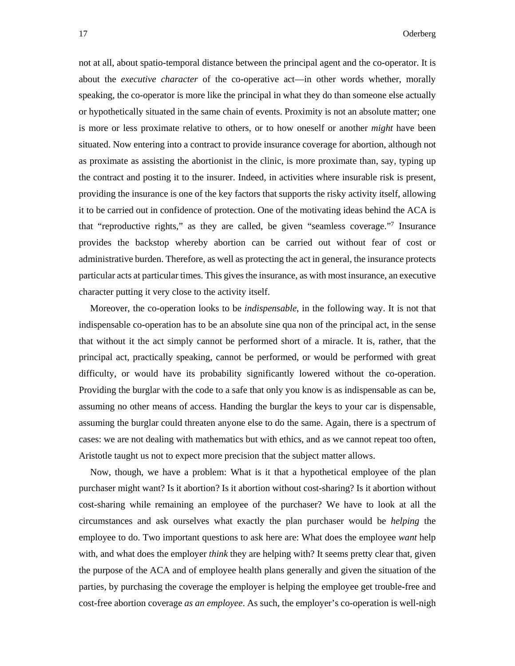not at all, about spatio-temporal distance between the principal agent and the co-operator. It is about the *executive character* of the co-operative act—in other words whether, morally speaking, the co-operator is more like the principal in what they do than someone else actually or hypothetically situated in the same chain of events. Proximity is not an absolute matter; one is more or less proximate relative to others, or to how oneself or another *might* have been situated. Now entering into a contract to provide insurance coverage for abortion, although not as proximate as assisting the abortionist in the clinic, is more proximate than, say, typing up the contract and posting it to the insurer. Indeed, in activities where insurable risk is present, providing the insurance is one of the key factors that supports the risky activity itself, allowing it to be carried out in confidence of protection. One of the motivating ideas behind the ACA is that "reproductive rights," as they are called, be given "seamless coverage."7 Insurance provides the backstop whereby abortion can be carried out without fear of cost or administrative burden. Therefore, as well as protecting the act in general, the insurance protects particular acts at particular times. This gives the insurance, as with most insurance, an executive character putting it very close to the activity itself.

Moreover, the co-operation looks to be *indispensable*, in the following way. It is not that indispensable co-operation has to be an absolute sine qua non of the principal act, in the sense that without it the act simply cannot be performed short of a miracle. It is, rather, that the principal act, practically speaking, cannot be performed, or would be performed with great difficulty, or would have its probability significantly lowered without the co-operation. Providing the burglar with the code to a safe that only you know is as indispensable as can be, assuming no other means of access. Handing the burglar the keys to your car is dispensable, assuming the burglar could threaten anyone else to do the same. Again, there is a spectrum of cases: we are not dealing with mathematics but with ethics, and as we cannot repeat too often, Aristotle taught us not to expect more precision that the subject matter allows.

Now, though, we have a problem: What is it that a hypothetical employee of the plan purchaser might want? Is it abortion? Is it abortion without cost-sharing? Is it abortion without cost-sharing while remaining an employee of the purchaser? We have to look at all the circumstances and ask ourselves what exactly the plan purchaser would be *helping* the employee to do. Two important questions to ask here are: What does the employee *want* help with, and what does the employer *think* they are helping with? It seems pretty clear that, given the purpose of the ACA and of employee health plans generally and given the situation of the parties, by purchasing the coverage the employer is helping the employee get trouble-free and cost-free abortion coverage *as an employee*. As such, the employer's co-operation is well-nigh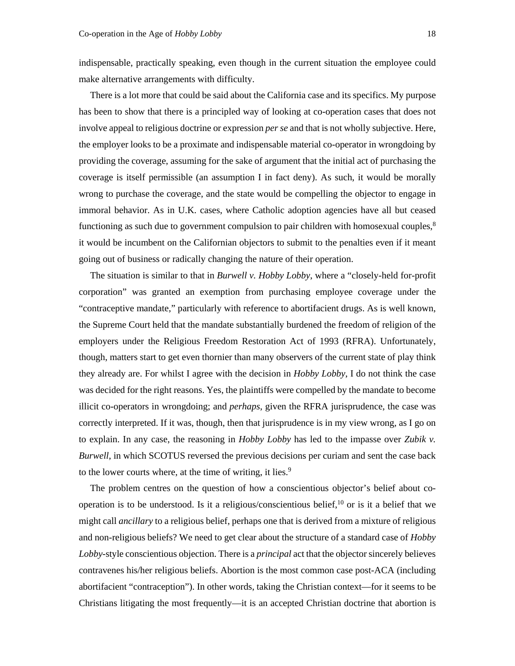indispensable, practically speaking, even though in the current situation the employee could make alternative arrangements with difficulty.

There is a lot more that could be said about the California case and its specifics. My purpose has been to show that there is a principled way of looking at co-operation cases that does not involve appeal to religious doctrine or expression *per se* and that is not wholly subjective. Here, the employer looks to be a proximate and indispensable material co-operator in wrongdoing by providing the coverage, assuming for the sake of argument that the initial act of purchasing the coverage is itself permissible (an assumption I in fact deny). As such, it would be morally wrong to purchase the coverage, and the state would be compelling the objector to engage in immoral behavior. As in U.K. cases, where Catholic adoption agencies have all but ceased functioning as such due to government compulsion to pair children with homosexual couples, $\frac{8}{3}$ it would be incumbent on the Californian objectors to submit to the penalties even if it meant going out of business or radically changing the nature of their operation.

The situation is similar to that in *Burwell v. Hobby Lobby*, where a "closely-held for-profit corporation" was granted an exemption from purchasing employee coverage under the "contraceptive mandate," particularly with reference to abortifacient drugs. As is well known, the Supreme Court held that the mandate substantially burdened the freedom of religion of the employers under the Religious Freedom Restoration Act of 1993 (RFRA). Unfortunately, though, matters start to get even thornier than many observers of the current state of play think they already are. For whilst I agree with the decision in *Hobby Lobby*, I do not think the case was decided for the right reasons. Yes, the plaintiffs were compelled by the mandate to become illicit co-operators in wrongdoing; and *perhaps*, given the RFRA jurisprudence, the case was correctly interpreted. If it was, though, then that jurisprudence is in my view wrong, as I go on to explain. In any case, the reasoning in *Hobby Lobby* has led to the impasse over *Zubik v. Burwell*, in which SCOTUS reversed the previous decisions per curiam and sent the case back to the lower courts where, at the time of writing, it lies.<sup>9</sup>

The problem centres on the question of how a conscientious objector's belief about cooperation is to be understood. Is it a religious/conscientious belief,  $\frac{10}{10}$  or is it a belief that we might call *ancillary* to a religious belief, perhaps one that is derived from a mixture of religious and non-religious beliefs? We need to get clear about the structure of a standard case of *Hobby Lobby*-style conscientious objection. There is a *principal* act that the objector sincerely believes contravenes his/her religious beliefs. Abortion is the most common case post-ACA (including abortifacient "contraception"). In other words, taking the Christian context—for it seems to be Christians litigating the most frequently—it is an accepted Christian doctrine that abortion is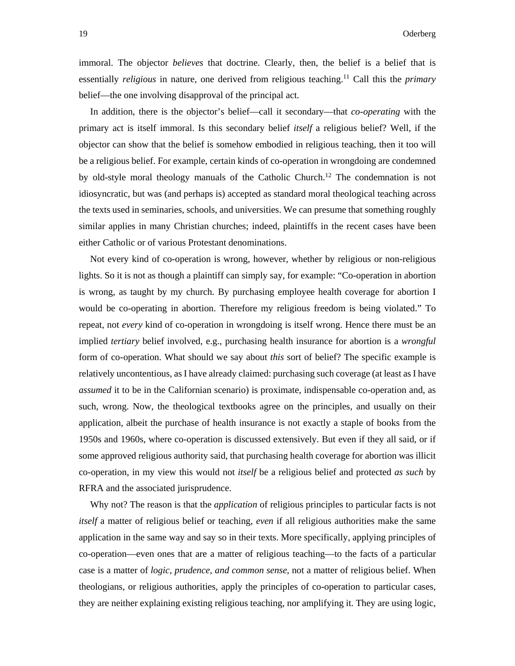immoral. The objector *believes* that doctrine. Clearly, then, the belief is a belief that is essentially *religious* in nature, one derived from religious teaching.11 Call this the *primary* belief—the one involving disapproval of the principal act.

In addition, there is the objector's belief—call it secondary—that *co-operating* with the primary act is itself immoral. Is this secondary belief *itself* a religious belief? Well, if the objector can show that the belief is somehow embodied in religious teaching, then it too will be a religious belief. For example, certain kinds of co-operation in wrongdoing are condemned by old-style moral theology manuals of the Catholic Church.12 The condemnation is not idiosyncratic, but was (and perhaps is) accepted as standard moral theological teaching across the texts used in seminaries, schools, and universities. We can presume that something roughly similar applies in many Christian churches; indeed, plaintiffs in the recent cases have been either Catholic or of various Protestant denominations.

Not every kind of co-operation is wrong, however, whether by religious or non-religious lights. So it is not as though a plaintiff can simply say, for example: "Co-operation in abortion is wrong, as taught by my church. By purchasing employee health coverage for abortion I would be co-operating in abortion. Therefore my religious freedom is being violated." To repeat, not *every* kind of co-operation in wrongdoing is itself wrong. Hence there must be an implied *tertiary* belief involved, e.g., purchasing health insurance for abortion is a *wrongful* form of co-operation. What should we say about *this* sort of belief? The specific example is relatively uncontentious, as I have already claimed: purchasing such coverage (at least as I have *assumed* it to be in the Californian scenario) is proximate, indispensable co-operation and, as such, wrong. Now, the theological textbooks agree on the principles, and usually on their application, albeit the purchase of health insurance is not exactly a staple of books from the 1950s and 1960s, where co-operation is discussed extensively. But even if they all said, or if some approved religious authority said, that purchasing health coverage for abortion was illicit co-operation, in my view this would not *itself* be a religious belief and protected *as such* by RFRA and the associated jurisprudence.

Why not? The reason is that the *application* of religious principles to particular facts is not *itself* a matter of religious belief or teaching, *even* if all religious authorities make the same application in the same way and say so in their texts. More specifically, applying principles of co-operation—even ones that are a matter of religious teaching—to the facts of a particular case is a matter of *logic, prudence, and common sense*, not a matter of religious belief. When theologians, or religious authorities, apply the principles of co-operation to particular cases, they are neither explaining existing religious teaching, nor amplifying it. They are using logic,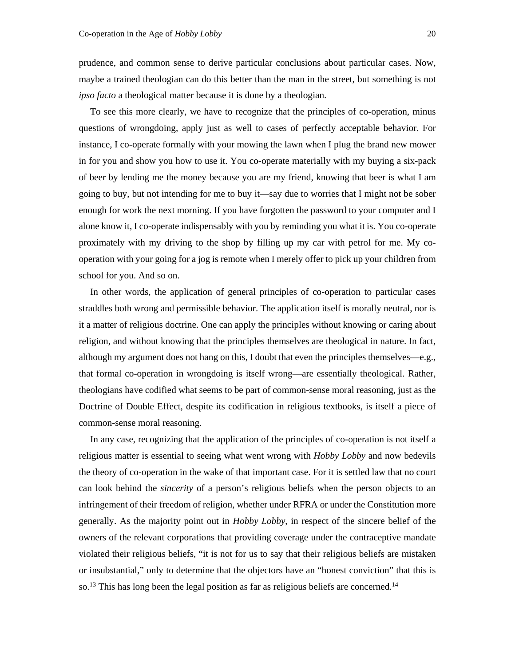prudence, and common sense to derive particular conclusions about particular cases. Now, maybe a trained theologian can do this better than the man in the street, but something is not *ipso facto* a theological matter because it is done by a theologian.

To see this more clearly, we have to recognize that the principles of co-operation, minus questions of wrongdoing, apply just as well to cases of perfectly acceptable behavior. For instance, I co-operate formally with your mowing the lawn when I plug the brand new mower in for you and show you how to use it. You co-operate materially with my buying a six-pack of beer by lending me the money because you are my friend, knowing that beer is what I am going to buy, but not intending for me to buy it—say due to worries that I might not be sober enough for work the next morning. If you have forgotten the password to your computer and I alone know it, I co-operate indispensably with you by reminding you what it is. You co-operate proximately with my driving to the shop by filling up my car with petrol for me. My cooperation with your going for a jog is remote when I merely offer to pick up your children from school for you. And so on.

In other words, the application of general principles of co-operation to particular cases straddles both wrong and permissible behavior. The application itself is morally neutral, nor is it a matter of religious doctrine. One can apply the principles without knowing or caring about religion, and without knowing that the principles themselves are theological in nature. In fact, although my argument does not hang on this, I doubt that even the principles themselves—e.g., that formal co-operation in wrongdoing is itself wrong—are essentially theological. Rather, theologians have codified what seems to be part of common-sense moral reasoning, just as the Doctrine of Double Effect, despite its codification in religious textbooks, is itself a piece of common-sense moral reasoning.

In any case, recognizing that the application of the principles of co-operation is not itself a religious matter is essential to seeing what went wrong with *Hobby Lobby* and now bedevils the theory of co-operation in the wake of that important case. For it is settled law that no court can look behind the *sincerity* of a person's religious beliefs when the person objects to an infringement of their freedom of religion, whether under RFRA or under the Constitution more generally. As the majority point out in *Hobby Lobby*, in respect of the sincere belief of the owners of the relevant corporations that providing coverage under the contraceptive mandate violated their religious beliefs, "it is not for us to say that their religious beliefs are mistaken or insubstantial," only to determine that the objectors have an "honest conviction" that this is so.<sup>13</sup> This has long been the legal position as far as religious beliefs are concerned.<sup>14</sup>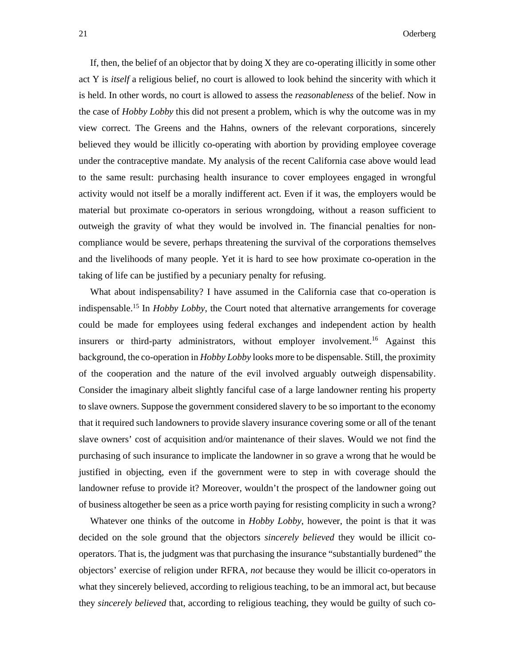If, then, the belief of an objector that by doing X they are co-operating illicitly in some other act Y is *itself* a religious belief, no court is allowed to look behind the sincerity with which it is held. In other words, no court is allowed to assess the *reasonableness* of the belief. Now in the case of *Hobby Lobby* this did not present a problem, which is why the outcome was in my view correct. The Greens and the Hahns, owners of the relevant corporations, sincerely believed they would be illicitly co-operating with abortion by providing employee coverage under the contraceptive mandate. My analysis of the recent California case above would lead to the same result: purchasing health insurance to cover employees engaged in wrongful activity would not itself be a morally indifferent act. Even if it was, the employers would be material but proximate co-operators in serious wrongdoing, without a reason sufficient to outweigh the gravity of what they would be involved in. The financial penalties for noncompliance would be severe, perhaps threatening the survival of the corporations themselves and the livelihoods of many people. Yet it is hard to see how proximate co-operation in the taking of life can be justified by a pecuniary penalty for refusing.

What about indispensability? I have assumed in the California case that co-operation is indispensable.15 In *Hobby Lobby*, the Court noted that alternative arrangements for coverage could be made for employees using federal exchanges and independent action by health insurers or third-party administrators, without employer involvement.<sup>16</sup> Against this background, the co-operation in *Hobby Lobby* looks more to be dispensable. Still, the proximity of the cooperation and the nature of the evil involved arguably outweigh dispensability. Consider the imaginary albeit slightly fanciful case of a large landowner renting his property to slave owners. Suppose the government considered slavery to be so important to the economy that it required such landowners to provide slavery insurance covering some or all of the tenant slave owners' cost of acquisition and/or maintenance of their slaves. Would we not find the purchasing of such insurance to implicate the landowner in so grave a wrong that he would be justified in objecting, even if the government were to step in with coverage should the landowner refuse to provide it? Moreover, wouldn't the prospect of the landowner going out of business altogether be seen as a price worth paying for resisting complicity in such a wrong?

Whatever one thinks of the outcome in *Hobby Lobby*, however, the point is that it was decided on the sole ground that the objectors *sincerely believed* they would be illicit cooperators. That is, the judgment was that purchasing the insurance "substantially burdened" the objectors' exercise of religion under RFRA, *not* because they would be illicit co-operators in what they sincerely believed, according to religious teaching, to be an immoral act, but because they *sincerely believed* that, according to religious teaching, they would be guilty of such co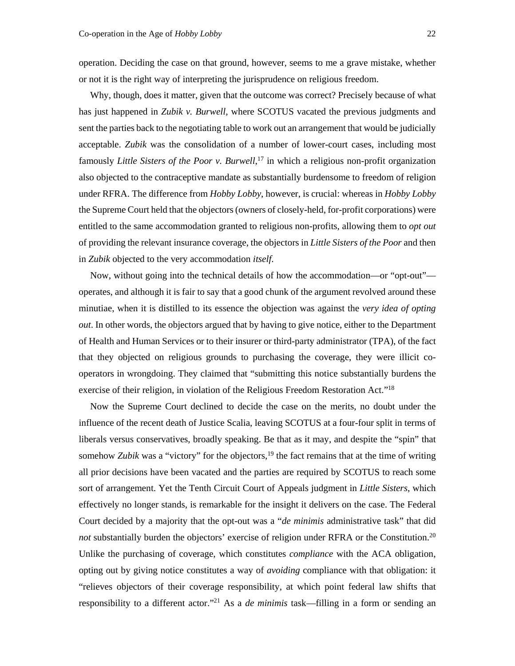operation. Deciding the case on that ground, however, seems to me a grave mistake, whether or not it is the right way of interpreting the jurisprudence on religious freedom.

Why, though, does it matter, given that the outcome was correct? Precisely because of what has just happened in *Zubik v. Burwell*, where SCOTUS vacated the previous judgments and sent the parties back to the negotiating table to work out an arrangement that would be judicially acceptable. *Zubik* was the consolidation of a number of lower-court cases, including most famously *Little Sisters of the Poor v. Burwell*, 17 in which a religious non-profit organization also objected to the contraceptive mandate as substantially burdensome to freedom of religion under RFRA. The difference from *Hobby Lobby*, however, is crucial: whereas in *Hobby Lobby* the Supreme Court held that the objectors (owners of closely-held, for-profit corporations) were entitled to the same accommodation granted to religious non-profits, allowing them to *opt out* of providing the relevant insurance coverage, the objectors in *Little Sisters of the Poor* and then in *Zubik* objected to the very accommodation *itself*.

Now, without going into the technical details of how the accommodation—or "opt-out" operates, and although it is fair to say that a good chunk of the argument revolved around these minutiae, when it is distilled to its essence the objection was against the *very idea of opting out*. In other words, the objectors argued that by having to give notice, either to the Department of Health and Human Services or to their insurer or third-party administrator (TPA), of the fact that they objected on religious grounds to purchasing the coverage, they were illicit cooperators in wrongdoing. They claimed that "submitting this notice substantially burdens the exercise of their religion, in violation of the Religious Freedom Restoration Act."18

Now the Supreme Court declined to decide the case on the merits, no doubt under the influence of the recent death of Justice Scalia, leaving SCOTUS at a four-four split in terms of liberals versus conservatives, broadly speaking. Be that as it may, and despite the "spin" that somehow *Zubik* was a "victory" for the objectors,<sup>19</sup> the fact remains that at the time of writing all prior decisions have been vacated and the parties are required by SCOTUS to reach some sort of arrangement. Yet the Tenth Circuit Court of Appeals judgment in *Little Sisters*, which effectively no longer stands, is remarkable for the insight it delivers on the case. The Federal Court decided by a majority that the opt-out was a "*de minimis* administrative task" that did *not* substantially burden the objectors' exercise of religion under RFRA or the Constitution.<sup>20</sup> Unlike the purchasing of coverage, which constitutes *compliance* with the ACA obligation, opting out by giving notice constitutes a way of *avoiding* compliance with that obligation: it "relieves objectors of their coverage responsibility, at which point federal law shifts that responsibility to a different actor."21 As a *de minimis* task—filling in a form or sending an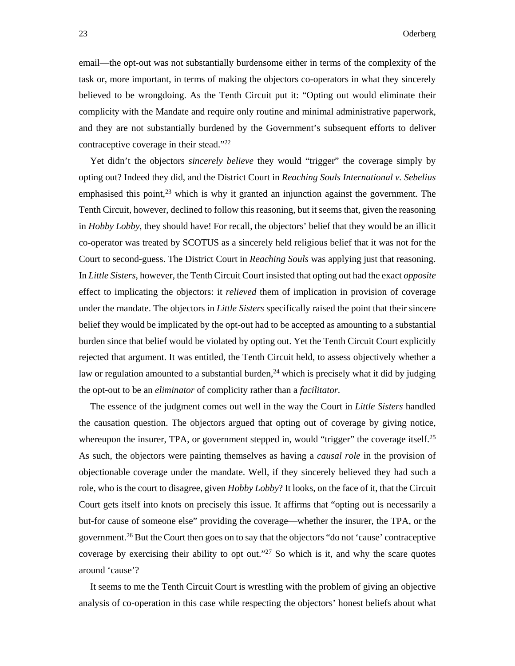email—the opt-out was not substantially burdensome either in terms of the complexity of the task or, more important, in terms of making the objectors co-operators in what they sincerely believed to be wrongdoing. As the Tenth Circuit put it: "Opting out would eliminate their complicity with the Mandate and require only routine and minimal administrative paperwork, and they are not substantially burdened by the Government's subsequent efforts to deliver contraceptive coverage in their stead."22

Yet didn't the objectors *sincerely believe* they would "trigger" the coverage simply by opting out? Indeed they did, and the District Court in *Reaching Souls International v. Sebelius* emphasised this point, $2<sup>3</sup>$  which is why it granted an injunction against the government. The Tenth Circuit, however, declined to follow this reasoning, but it seems that, given the reasoning in *Hobby Lobby*, they should have! For recall, the objectors' belief that they would be an illicit co-operator was treated by SCOTUS as a sincerely held religious belief that it was not for the Court to second-guess. The District Court in *Reaching Souls* was applying just that reasoning. In *Little Sisters*, however, the Tenth Circuit Court insisted that opting out had the exact *opposite* effect to implicating the objectors: it *relieved* them of implication in provision of coverage under the mandate. The objectors in *Little Sisters* specifically raised the point that their sincere belief they would be implicated by the opt-out had to be accepted as amounting to a substantial burden since that belief would be violated by opting out. Yet the Tenth Circuit Court explicitly rejected that argument. It was entitled, the Tenth Circuit held, to assess objectively whether a law or regulation amounted to a substantial burden,<sup>24</sup> which is precisely what it did by judging the opt-out to be an *eliminator* of complicity rather than a *facilitator.*

The essence of the judgment comes out well in the way the Court in *Little Sisters* handled the causation question. The objectors argued that opting out of coverage by giving notice, whereupon the insurer, TPA, or government stepped in, would "trigger" the coverage itself.<sup>25</sup> As such, the objectors were painting themselves as having a *causal role* in the provision of objectionable coverage under the mandate. Well, if they sincerely believed they had such a role, who is the court to disagree, given *Hobby Lobby*? It looks, on the face of it, that the Circuit Court gets itself into knots on precisely this issue. It affirms that "opting out is necessarily a but-for cause of someone else" providing the coverage—whether the insurer, the TPA, or the government.26 But the Court then goes on to say that the objectors "do not 'cause' contraceptive coverage by exercising their ability to opt out."<sup>27</sup> So which is it, and why the scare quotes around 'cause'?

It seems to me the Tenth Circuit Court is wrestling with the problem of giving an objective analysis of co-operation in this case while respecting the objectors' honest beliefs about what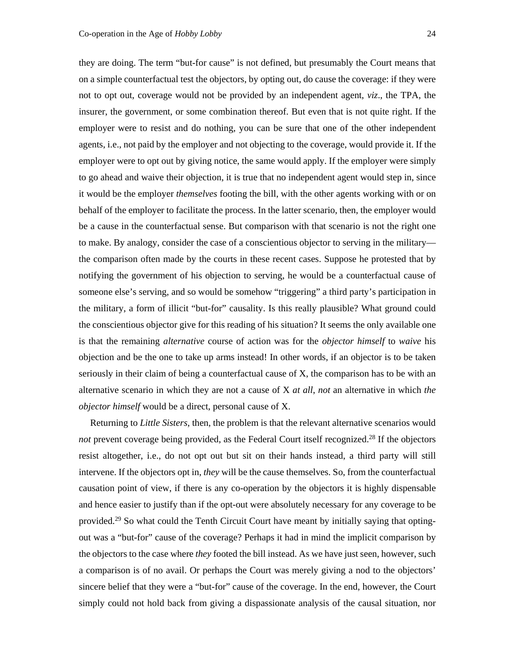they are doing. The term "but-for cause" is not defined, but presumably the Court means that on a simple counterfactual test the objectors, by opting out, do cause the coverage: if they were not to opt out, coverage would not be provided by an independent agent, *viz*., the TPA, the insurer, the government, or some combination thereof. But even that is not quite right. If the employer were to resist and do nothing, you can be sure that one of the other independent agents, i.e., not paid by the employer and not objecting to the coverage, would provide it. If the employer were to opt out by giving notice, the same would apply. If the employer were simply to go ahead and waive their objection, it is true that no independent agent would step in, since it would be the employer *themselves* footing the bill, with the other agents working with or on behalf of the employer to facilitate the process. In the latter scenario, then, the employer would be a cause in the counterfactual sense. But comparison with that scenario is not the right one to make. By analogy, consider the case of a conscientious objector to serving in the military the comparison often made by the courts in these recent cases. Suppose he protested that by notifying the government of his objection to serving, he would be a counterfactual cause of someone else's serving, and so would be somehow "triggering" a third party's participation in the military, a form of illicit "but-for" causality. Is this really plausible? What ground could the conscientious objector give for this reading of his situation? It seems the only available one is that the remaining *alternative* course of action was for the *objector himself* to *waive* his objection and be the one to take up arms instead! In other words, if an objector is to be taken seriously in their claim of being a counterfactual cause of X, the comparison has to be with an alternative scenario in which they are not a cause of X *at all*, *not* an alternative in which *the objector himself* would be a direct, personal cause of X.

Returning to *Little Sisters*, then, the problem is that the relevant alternative scenarios would *not* prevent coverage being provided, as the Federal Court itself recognized.<sup>28</sup> If the objectors resist altogether, i.e., do not opt out but sit on their hands instead, a third party will still intervene. If the objectors opt in, *they* will be the cause themselves. So, from the counterfactual causation point of view, if there is any co-operation by the objectors it is highly dispensable and hence easier to justify than if the opt-out were absolutely necessary for any coverage to be provided.<sup>29</sup> So what could the Tenth Circuit Court have meant by initially saying that optingout was a "but-for" cause of the coverage? Perhaps it had in mind the implicit comparison by the objectors to the case where *they* footed the bill instead. As we have just seen, however, such a comparison is of no avail. Or perhaps the Court was merely giving a nod to the objectors' sincere belief that they were a "but-for" cause of the coverage. In the end, however, the Court simply could not hold back from giving a dispassionate analysis of the causal situation, nor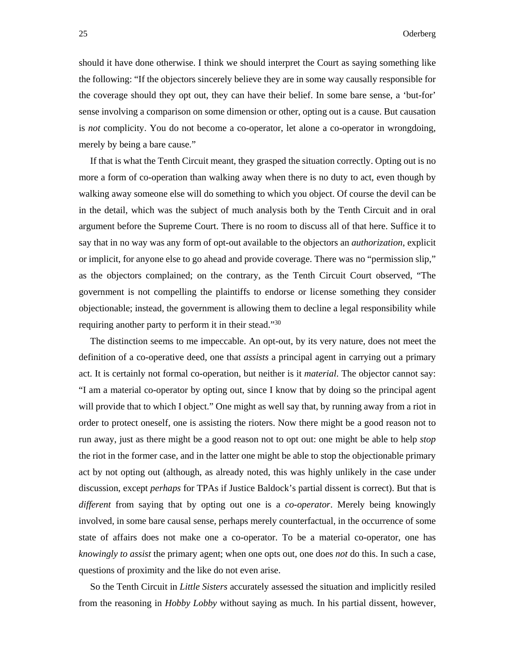should it have done otherwise. I think we should interpret the Court as saying something like the following: "If the objectors sincerely believe they are in some way causally responsible for the coverage should they opt out, they can have their belief. In some bare sense, a 'but-for' sense involving a comparison on some dimension or other, opting out is a cause. But causation is *not* complicity. You do not become a co-operator, let alone a co-operator in wrongdoing, merely by being a bare cause."

If that is what the Tenth Circuit meant, they grasped the situation correctly. Opting out is no more a form of co-operation than walking away when there is no duty to act, even though by walking away someone else will do something to which you object. Of course the devil can be in the detail, which was the subject of much analysis both by the Tenth Circuit and in oral argument before the Supreme Court. There is no room to discuss all of that here. Suffice it to say that in no way was any form of opt-out available to the objectors an *authorization*, explicit or implicit, for anyone else to go ahead and provide coverage. There was no "permission slip," as the objectors complained; on the contrary, as the Tenth Circuit Court observed, "The government is not compelling the plaintiffs to endorse or license something they consider objectionable; instead, the government is allowing them to decline a legal responsibility while requiring another party to perform it in their stead."30

The distinction seems to me impeccable. An opt-out, by its very nature, does not meet the definition of a co-operative deed, one that *assists* a principal agent in carrying out a primary act. It is certainly not formal co-operation, but neither is it *material*. The objector cannot say: "I am a material co-operator by opting out, since I know that by doing so the principal agent will provide that to which I object." One might as well say that, by running away from a riot in order to protect oneself, one is assisting the rioters. Now there might be a good reason not to run away, just as there might be a good reason not to opt out: one might be able to help *stop* the riot in the former case, and in the latter one might be able to stop the objectionable primary act by not opting out (although, as already noted, this was highly unlikely in the case under discussion, except *perhaps* for TPAs if Justice Baldock's partial dissent is correct). But that is *different* from saying that by opting out one is a *co-operator*. Merely being knowingly involved, in some bare causal sense, perhaps merely counterfactual, in the occurrence of some state of affairs does not make one a co-operator. To be a material co-operator, one has *knowingly to assist* the primary agent; when one opts out, one does *not* do this. In such a case, questions of proximity and the like do not even arise.

So the Tenth Circuit in *Little Sisters* accurately assessed the situation and implicitly resiled from the reasoning in *Hobby Lobby* without saying as much. In his partial dissent, however,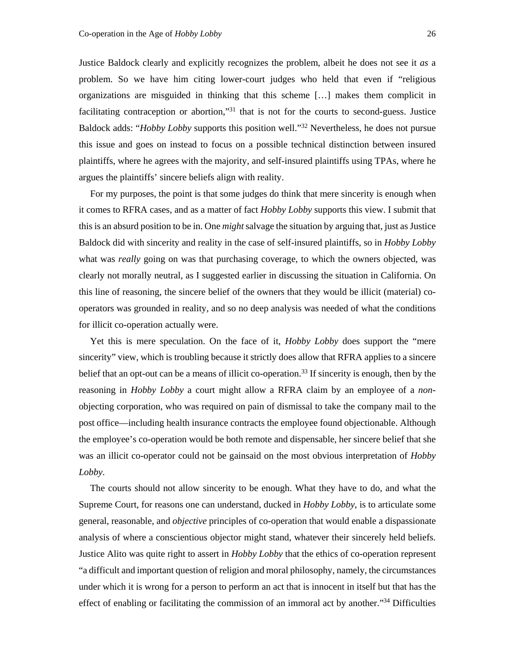Justice Baldock clearly and explicitly recognizes the problem, albeit he does not see it *as* a problem. So we have him citing lower-court judges who held that even if "religious organizations are misguided in thinking that this scheme […] makes them complicit in facilitating contraception or abortion,"<sup>31</sup> that is not for the courts to second-guess. Justice Baldock adds: "*Hobby Lobby* supports this position well."32 Nevertheless, he does not pursue this issue and goes on instead to focus on a possible technical distinction between insured plaintiffs, where he agrees with the majority, and self-insured plaintiffs using TPAs, where he argues the plaintiffs' sincere beliefs align with reality.

For my purposes, the point is that some judges do think that mere sincerity is enough when it comes to RFRA cases, and as a matter of fact *Hobby Lobby* supports this view. I submit that this is an absurd position to be in. One *might* salvage the situation by arguing that, just as Justice Baldock did with sincerity and reality in the case of self-insured plaintiffs, so in *Hobby Lobby* what was *really* going on was that purchasing coverage, to which the owners objected, was clearly not morally neutral, as I suggested earlier in discussing the situation in California. On this line of reasoning, the sincere belief of the owners that they would be illicit (material) cooperators was grounded in reality, and so no deep analysis was needed of what the conditions for illicit co-operation actually were.

Yet this is mere speculation. On the face of it, *Hobby Lobby* does support the "mere sincerity" view, which is troubling because it strictly does allow that RFRA applies to a sincere belief that an opt-out can be a means of illicit co-operation.<sup>33</sup> If sincerity is enough, then by the reasoning in *Hobby Lobby* a court might allow a RFRA claim by an employee of a *non*objecting corporation, who was required on pain of dismissal to take the company mail to the post office—including health insurance contracts the employee found objectionable. Although the employee's co-operation would be both remote and dispensable, her sincere belief that she was an illicit co-operator could not be gainsaid on the most obvious interpretation of *Hobby Lobby*.

The courts should not allow sincerity to be enough. What they have to do, and what the Supreme Court, for reasons one can understand, ducked in *Hobby Lobby*, is to articulate some general, reasonable, and *objective* principles of co-operation that would enable a dispassionate analysis of where a conscientious objector might stand, whatever their sincerely held beliefs. Justice Alito was quite right to assert in *Hobby Lobby* that the ethics of co-operation represent "a difficult and important question of religion and moral philosophy, namely, the circumstances under which it is wrong for a person to perform an act that is innocent in itself but that has the effect of enabling or facilitating the commission of an immoral act by another."<sup>34</sup> Difficulties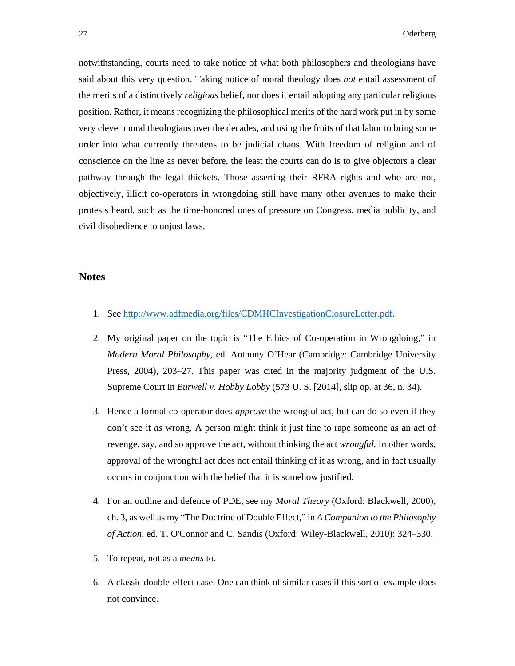notwithstanding, courts need to take notice of what both philosophers and theologians have said about this very question. Taking notice of moral theology does *not* entail assessment of the merits of a distinctively *religious* belief, nor does it entail adopting any particular religious position. Rather, it means recognizing the philosophical merits of the hard work put in by some very clever moral theologians over the decades, and using the fruits of that labor to bring some order into what currently threatens to be judicial chaos. With freedom of religion and of conscience on the line as never before, the least the courts can do is to give objectors a clear pathway through the legal thickets. Those asserting their RFRA rights and who are not, objectively, illicit co-operators in wrongdoing still have many other avenues to make their protests heard, such as the time-honored ones of pressure on Congress, media publicity, and civil disobedience to unjust laws.

## **Notes**

- 1. See http://www.adfmedia.org/files/CDMHCInvestigationClosureLetter.pdf.
- 2. My original paper on the topic is "The Ethics of Co-operation in Wrongdoing," in *Modern Moral Philosophy*, ed. Anthony O'Hear (Cambridge: Cambridge University Press, 2004), 203–27. This paper was cited in the majority judgment of the U.S. Supreme Court in *Burwell v. Hobby Lobby* (573 U. S. [2014], slip op. at 36, n. 34).
- 3. Hence a formal co-operator does *approve* the wrongful act, but can do so even if they don't see it *as* wrong. A person might think it just fine to rape someone as an act of revenge, say, and so approve the act, without thinking the act *wrongful.* In other words, approval of the wrongful act does not entail thinking of it as wrong, and in fact usually occurs in conjunction with the belief that it is somehow justified.
- 4. For an outline and defence of PDE, see my *Moral Theory* (Oxford: Blackwell, 2000), ch. 3, as well as my "The Doctrine of Double Effect," in *A Companion to the Philosophy of Action*, ed. T. O'Connor and C. Sandis (Oxford: Wiley-Blackwell, 2010): 324–330.
- 5. To repeat, not as a *means* to.
- 6. A classic double-effect case. One can think of similar cases if this sort of example does not convince.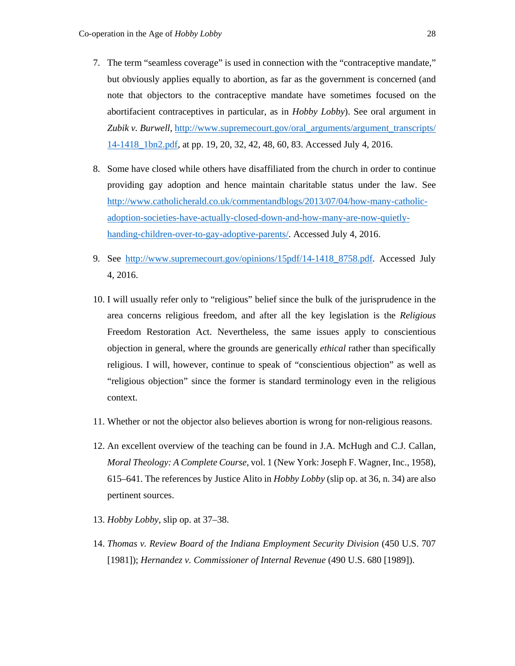- 7. The term "seamless coverage" is used in connection with the "contraceptive mandate," but obviously applies equally to abortion, as far as the government is concerned (and note that objectors to the contraceptive mandate have sometimes focused on the abortifacient contraceptives in particular, as in *Hobby Lobby*). See oral argument in *Zubik v. Burwell*, http://www.supremecourt.gov/oral\_arguments/argument\_transcripts/ 14-1418\_1bn2.pdf, at pp. 19, 20, 32, 42, 48, 60, 83. Accessed July 4, 2016.
- 8. Some have closed while others have disaffiliated from the church in order to continue providing gay adoption and hence maintain charitable status under the law. See http://www.catholicherald.co.uk/commentandblogs/2013/07/04/how-many-catholicadoption-societies-have-actually-closed-down-and-how-many-are-now-quietlyhanding-children-over-to-gay-adoptive-parents/. Accessed July 4, 2016.
- 9. See http://www.supremecourt.gov/opinions/15pdf/14-1418\_8758.pdf. Accessed July 4, 2016.
- 10. I will usually refer only to "religious" belief since the bulk of the jurisprudence in the area concerns religious freedom, and after all the key legislation is the *Religious* Freedom Restoration Act. Nevertheless, the same issues apply to conscientious objection in general, where the grounds are generically *ethical* rather than specifically religious. I will, however, continue to speak of "conscientious objection" as well as "religious objection" since the former is standard terminology even in the religious context.
- 11. Whether or not the objector also believes abortion is wrong for non-religious reasons.
- 12. An excellent overview of the teaching can be found in J.A. McHugh and C.J. Callan, *Moral Theology: A Complete Course*, vol. 1 (New York: Joseph F. Wagner, Inc., 1958), 615–641. The references by Justice Alito in *Hobby Lobby* (slip op. at 36, n. 34) are also pertinent sources.
- 13. *Hobby Lobby*, slip op. at 37–38.
- 14. *Thomas v. Review Board of the Indiana Employment Security Division* (450 U.S. 707 [1981]); *Hernandez v. Commissioner of Internal Revenue* (490 U.S. 680 [1989]).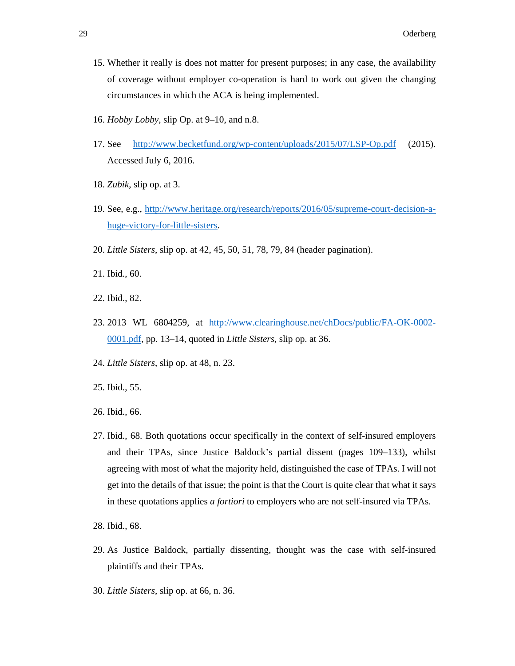- 15. Whether it really is does not matter for present purposes; in any case, the availability of coverage without employer co-operation is hard to work out given the changing circumstances in which the ACA is being implemented.
- 16. *Hobby Lobby*, slip Op. at 9–10, and n.8.
- 17. See http://www.becketfund.org/wp-content/uploads/2015/07/LSP-Op.pdf (2015). Accessed July 6, 2016.
- 18. *Zubik*, slip op. at 3.
- 19. See, e.g., http://www.heritage.org/research/reports/2016/05/supreme-court-decision-ahuge-victory-for-little-sisters.
- 20. *Little Sisters*, slip op. at 42, 45, 50, 51, 78, 79, 84 (header pagination).
- 21. Ibid., 60.
- 22. Ibid., 82.
- 23. 2013 WL 6804259, at http://www.clearinghouse.net/chDocs/public/FA-OK-0002- 0001.pdf, pp. 13–14, quoted in *Little Sisters*, slip op. at 36.
- 24. *Little Sisters*, slip op. at 48, n. 23.
- 25. Ibid., 55.
- 26. Ibid., 66.
- 27. Ibid., 68. Both quotations occur specifically in the context of self-insured employers and their TPAs, since Justice Baldock's partial dissent (pages 109–133), whilst agreeing with most of what the majority held, distinguished the case of TPAs. I will not get into the details of that issue; the point is that the Court is quite clear that what it says in these quotations applies *a fortiori* to employers who are not self-insured via TPAs.
- 28. Ibid., 68.
- 29. As Justice Baldock, partially dissenting, thought was the case with self-insured plaintiffs and their TPAs.
- 30. *Little Sisters*, slip op. at 66, n. 36.